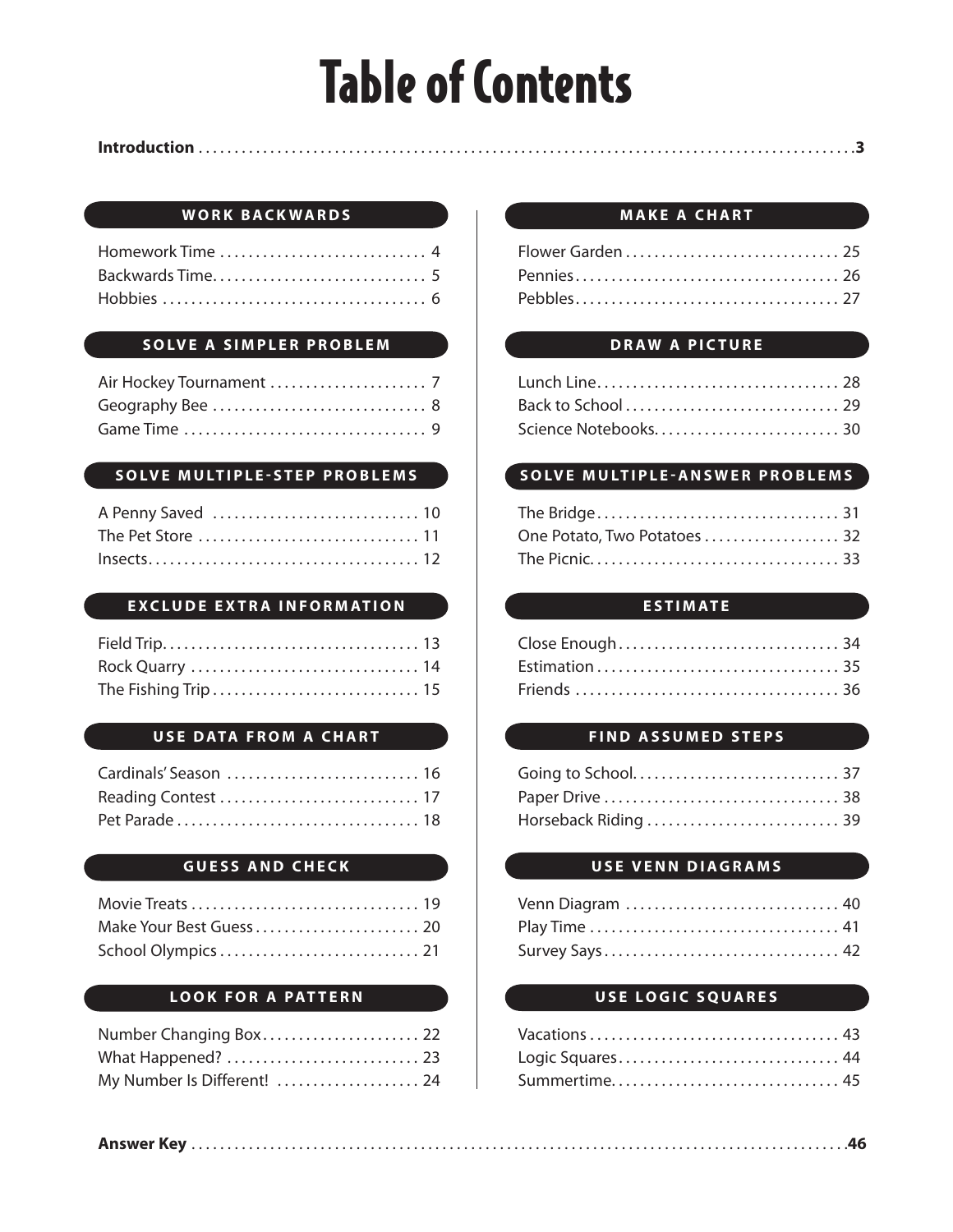# Table of Contents

#### **INTRODUCTION Introduction** . . . . . . . . . . . . . . . . . . . . . . . . . . . . . . . . . . . . . . . . . . . . . . . . . . . . . . . . . . . . . . . . . . . . . . . . . . . . . . . . . . . . . . . . . . . . . . . . . . . . . . . . . . . . . . . . . . . . . . . . . . . . . . . . . . . . . . . . . . . . . . . . . . . . 3**3**

#### **WORK BACKWARDS**

| Homework Time  4 |  |
|------------------|--|
|                  |  |
|                  |  |

#### **SOLVE A SIMPLER PROBLEM**

#### **SOLVE MULTIPLE-STEP PROBLEMS**

| A Penny Saved  10 |  |
|-------------------|--|
|                   |  |
|                   |  |

#### **EXCLUDE EXTRA INFORMATION**

#### **USE DATA FROM A CHART**

| Cardinals' Season  16 |  |
|-----------------------|--|
|                       |  |
|                       |  |

#### **GUESS AND CHECK**

| Make Your Best Guess  20 |  |
|--------------------------|--|
|                          |  |

#### **LOOK FOR A PATTERN**

| Number Changing Box 22      |  |
|-----------------------------|--|
|                             |  |
| My Number Is Different!  24 |  |

#### **MAKE A CHART**

#### **DRAW A PICTURE**

| Lunch Line 28        |  |
|----------------------|--|
|                      |  |
| Science Notebooks 30 |  |

#### **SOLVE MULTIPLE-ANSWER PROBLEMS**

| One Potato, Two Potatoes  32 |  |
|------------------------------|--|
|                              |  |

#### **ESTIMATE**

#### **FIND ASSUMED STEPS**

| Horseback Riding  39 |  |
|----------------------|--|

#### **USE VENN DIAGRAMS**

| Venn Diagram  40 |  |
|------------------|--|
|                  |  |
| Survey Says 42   |  |

#### **USE LOGIC SQUARES**

| Logic Squares 44 |  |
|------------------|--|
|                  |  |

|--|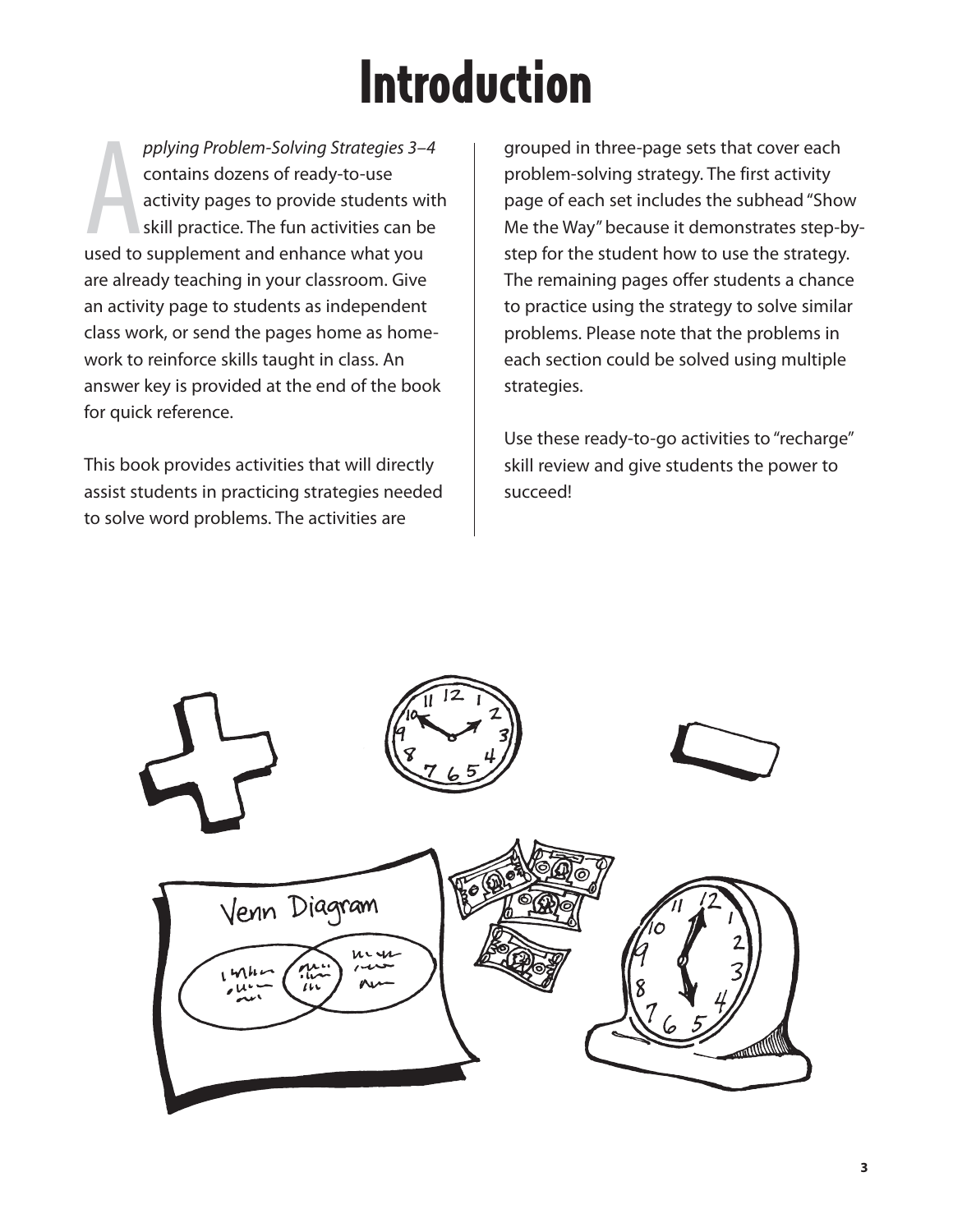# Introduction

pplying Problem-Solving Strategies 3-<br>contains dozens of ready-to-use<br>activity pages to provide students w<br>skill practice. The fun activities can b<br>used to supplement and enhance what you pplying Problem-Solving Strategies 3–4 contains dozens of ready-to-use activity pages to provide students with skill practice. The fun activities can be are already teaching in your classroom. Give an activity page to students as independent class work, or send the pages home as homework to reinforce skills taught in class. An answer key is provided at the end of the book for quick reference.

This book provides activities that will directly assist students in practicing strategies needed to solve word problems. The activities are

grouped in three-page sets that cover each problem-solving strategy. The first activity page of each set includes the subhead "Show Me the Way" because it demonstrates step-bystep for the student how to use the strategy. The remaining pages offer students a chance to practice using the strategy to solve similar problems. Please note that the problems in each section could be solved using multiple strategies.

Use these ready-to-go activities to "recharge" skill review and give students the power to succeed!

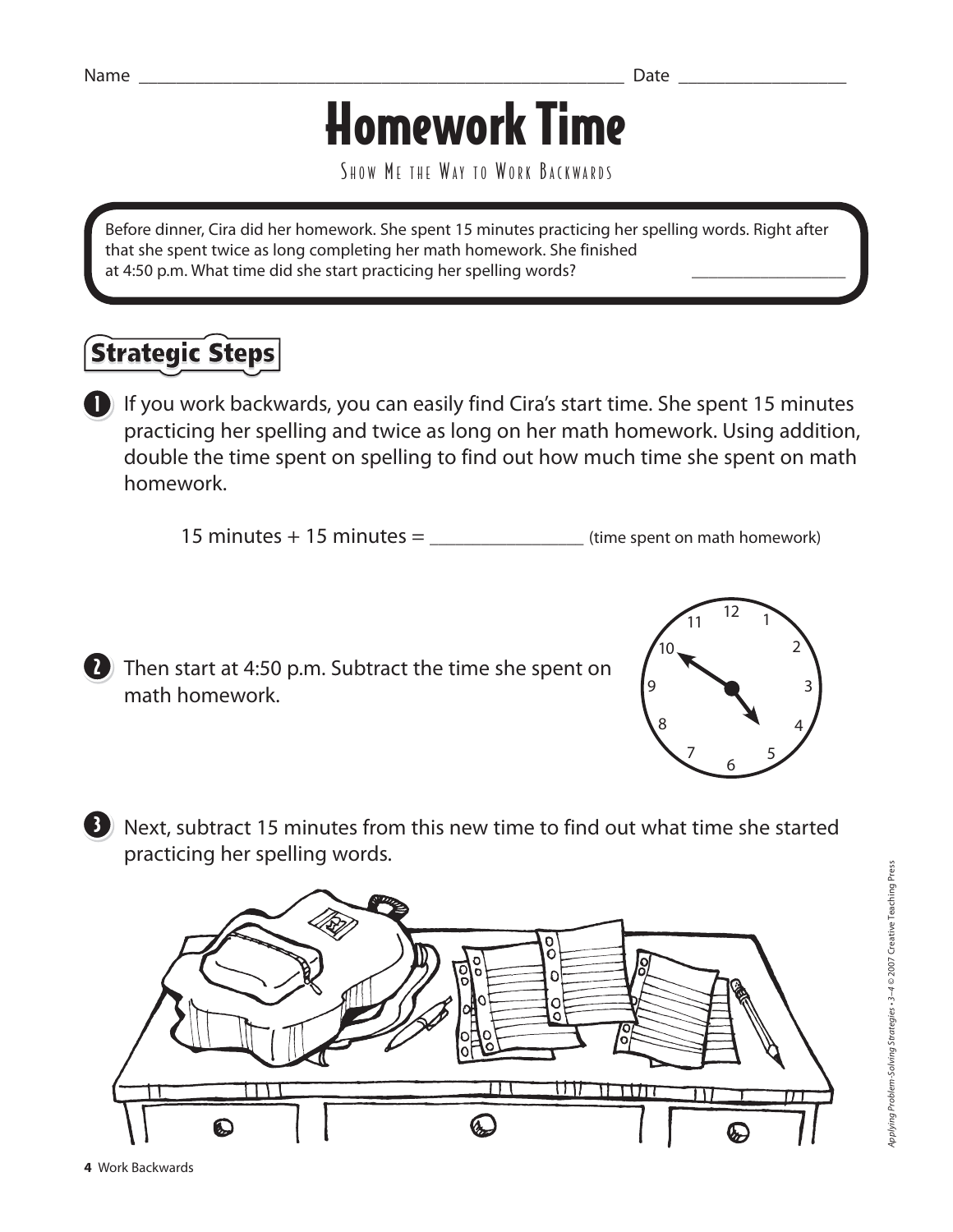## Homework Time

SHOW ME THE WAY TO WORK BACKWARDS

Before dinner, Cira did her homework. She spent 15 minutes practicing her spelling words. Right after that she spent twice as long completing her math homework. She finished at 4:50 p.m. What time did she start practicing her spelling words?

### **Strategic Steps**

**I** If you work backwards, you can easily find Cira's start time. She spent 15 minutes practicing her spelling and twice as long on her math homework. Using addition, double the time spent on spelling to find out how much time she spent on math homework.

15 minutes + 15 minutes = \_\_\_\_\_\_\_\_\_\_\_\_\_\_\_\_\_\_ (time spent on math homework)



**7** Then start at 4:50 p.m. Subtract the time she spent on math homework.



B Next, subtract 15 minutes from this new time to find out what time she started practicing her spelling words.

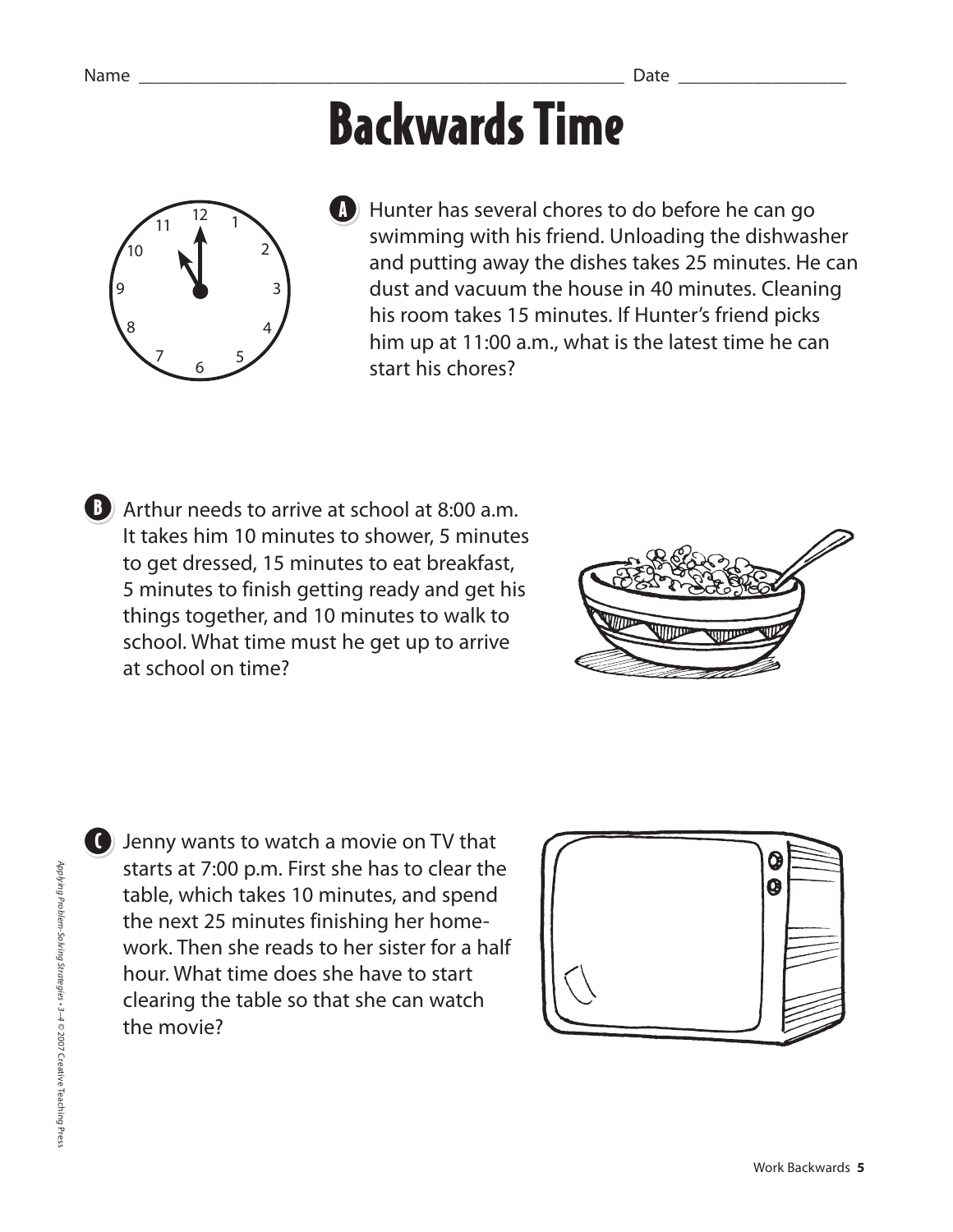## Backwards Time



**Hunter has several chores to do before he can go** swimming with his friend. Unloading the dishwasher and putting away the dishes takes 25 minutes. He can dust and vacuum the house in 40 minutes. Cleaning his room takes 15 minutes. If Hunter's friend picks him up at 11:00 a.m., what is the latest time he can start his chores?

**B** Arthur needs to arrive at school at 8:00 a.m. It takes him 10 minutes to shower, 5 minutes to get dressed, 15 minutes to eat breakfast, 5 minutes to finish getting ready and get his things together, and 10 minutes to walk to school. What time must he get up to arrive at school on time?



**O** Jenny wants to watch a movie on TV that starts at 7:00 p.m. First she has to clear the table, which takes 10 minutes, and spend the next 25 minutes finishing her homework. Then she reads to her sister for a half hour. What time does she have to start clearing the table so that she can watch the movie?

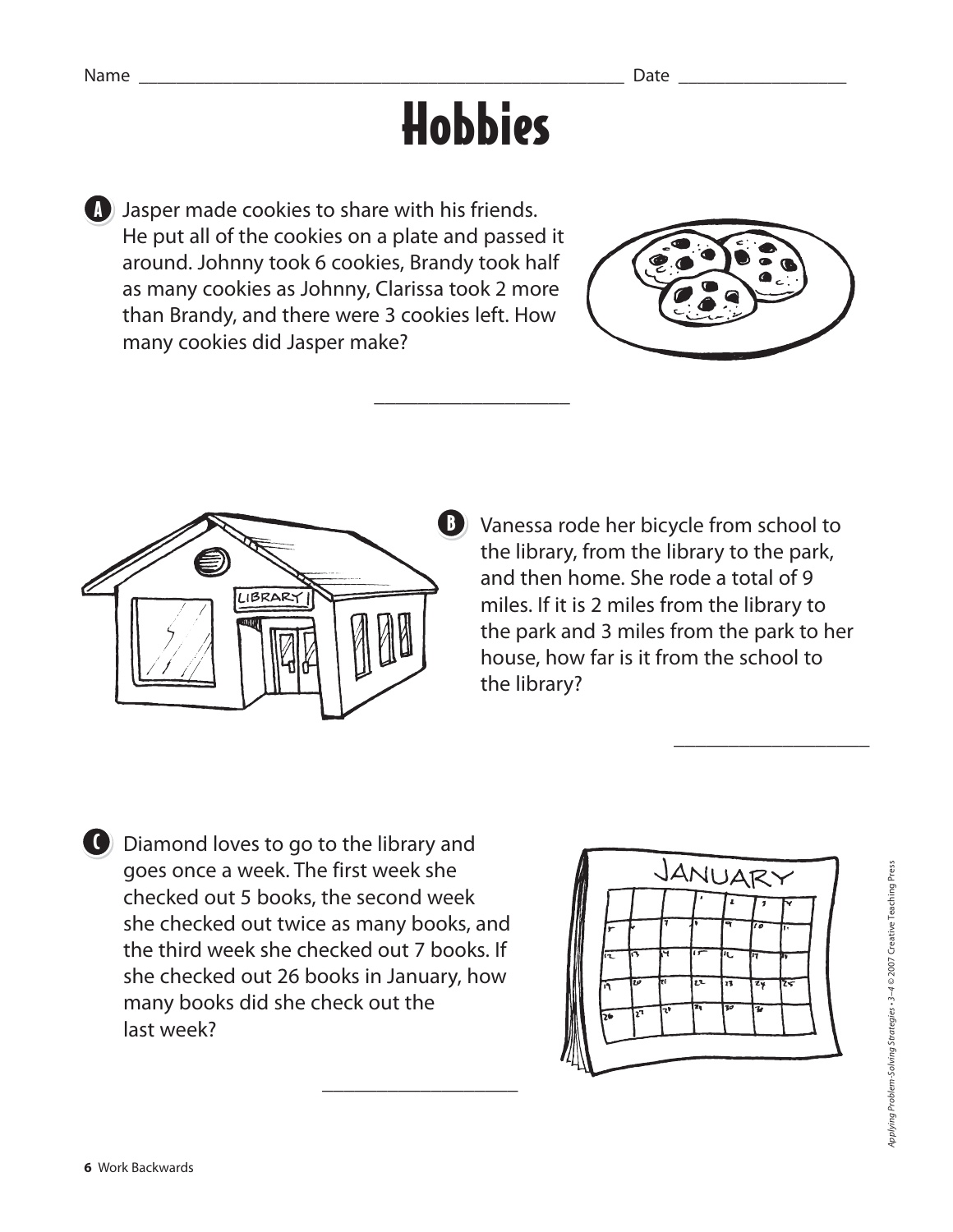# Hobbies

**J** Jasper made cookies to share with his friends. He put all of the cookies on a plate and passed it around. Johnny took 6 cookies, Brandy took half as many cookies as Johnny, Clarissa took 2 more than Brandy, and there were 3 cookies left. How many cookies did Jasper make?

 $\mathcal{L}_\text{max}$  and  $\mathcal{L}_\text{max}$  and  $\mathcal{L}_\text{max}$  and  $\mathcal{L}_\text{max}$ 





**B** Vanessa rode her bicycle from school to the library, from the library to the park, and then home. She rode a total of 9 miles. If it is 2 miles from the library to the park and 3 miles from the park to her house, how far is it from the school to the library?

 $\frac{1}{2}$  , and the set of  $\frac{1}{2}$  , and the set of  $\frac{1}{2}$ 

C Diamond loves to go to the library and goes once a week. The first week she checked out 5 books, the second week she checked out twice as many books, and the third week she checked out 7 books. If she checked out 26 books in January, how many books did she check out the last week?

\_\_\_\_\_\_\_\_\_\_\_\_\_\_\_\_\_\_

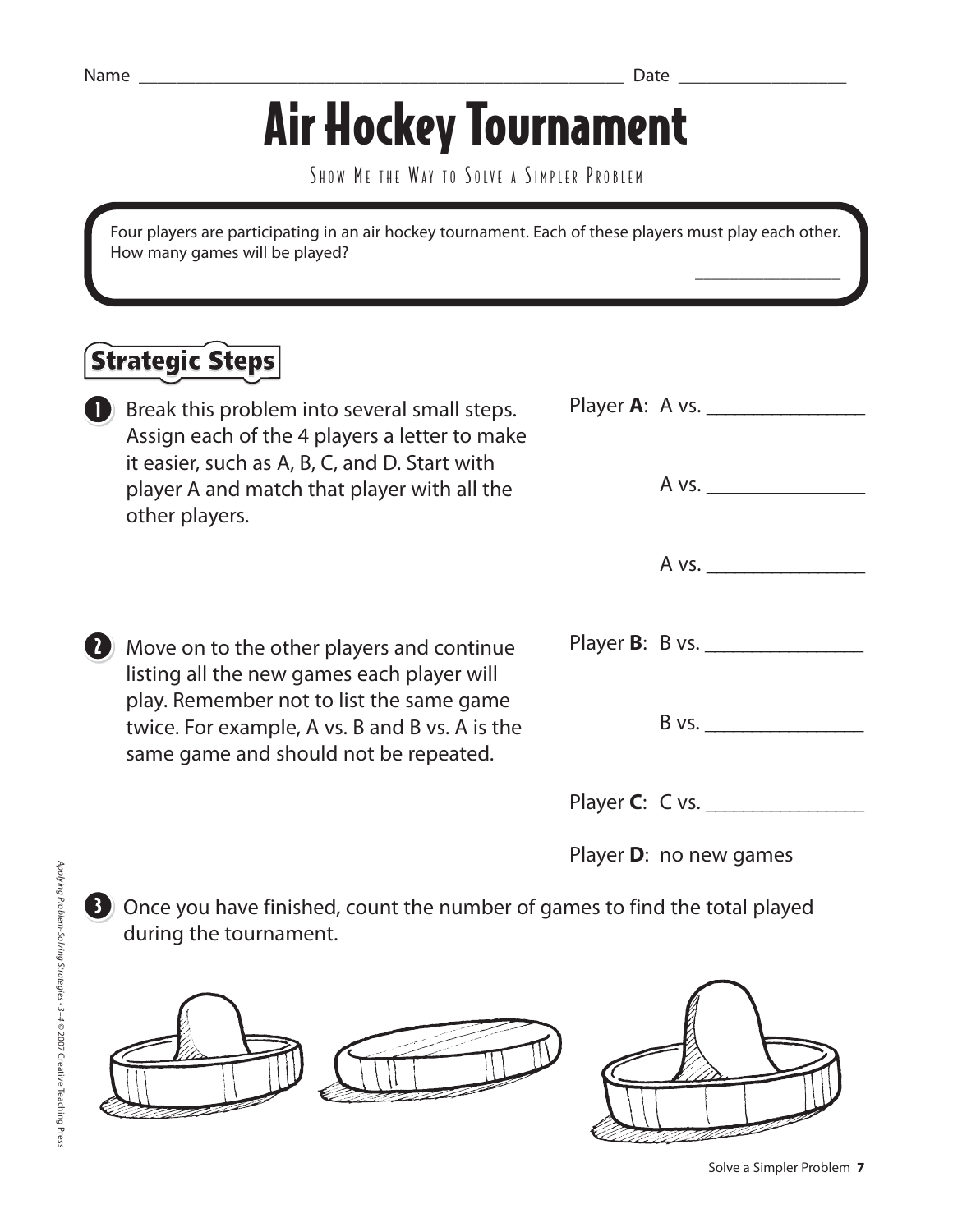$\overline{\phantom{a}}$  , which is a set of the set of the set of the set of the set of the set of the set of the set of the set of the set of the set of the set of the set of the set of the set of the set of the set of the set of th

# Air Hockey Tournament

SHOW ME THE WAY TO SOLVE A SIMPLER PROBLEM

Four players are participating in an air hockey tournament. Each of these players must play each other. How many games will be played?

### **Strategic Steps**

- Assign each of the 4 players a letter to make it easier, such as A, B, C, and D. Start with player A and match that player with all the other players.
- **7** Move on to the other players and continue listing all the new games each player will play. Remember not to list the same game twice. For example, A vs. B and B vs. A is the same game and should not be repeated.
- **Break this problem into several small steps.** Player A: A vs. A vs.  $A vs.$ Player **B**: B vs. \_\_\_\_\_\_\_\_\_\_\_\_\_\_\_\_\_  $B$  vs. Player **C**: C vs. \_\_\_\_\_\_\_\_\_\_\_\_\_\_\_\_\_

Player **D**: no new games

3 Once you have finished, count the number of games to find the total played during the tournament.





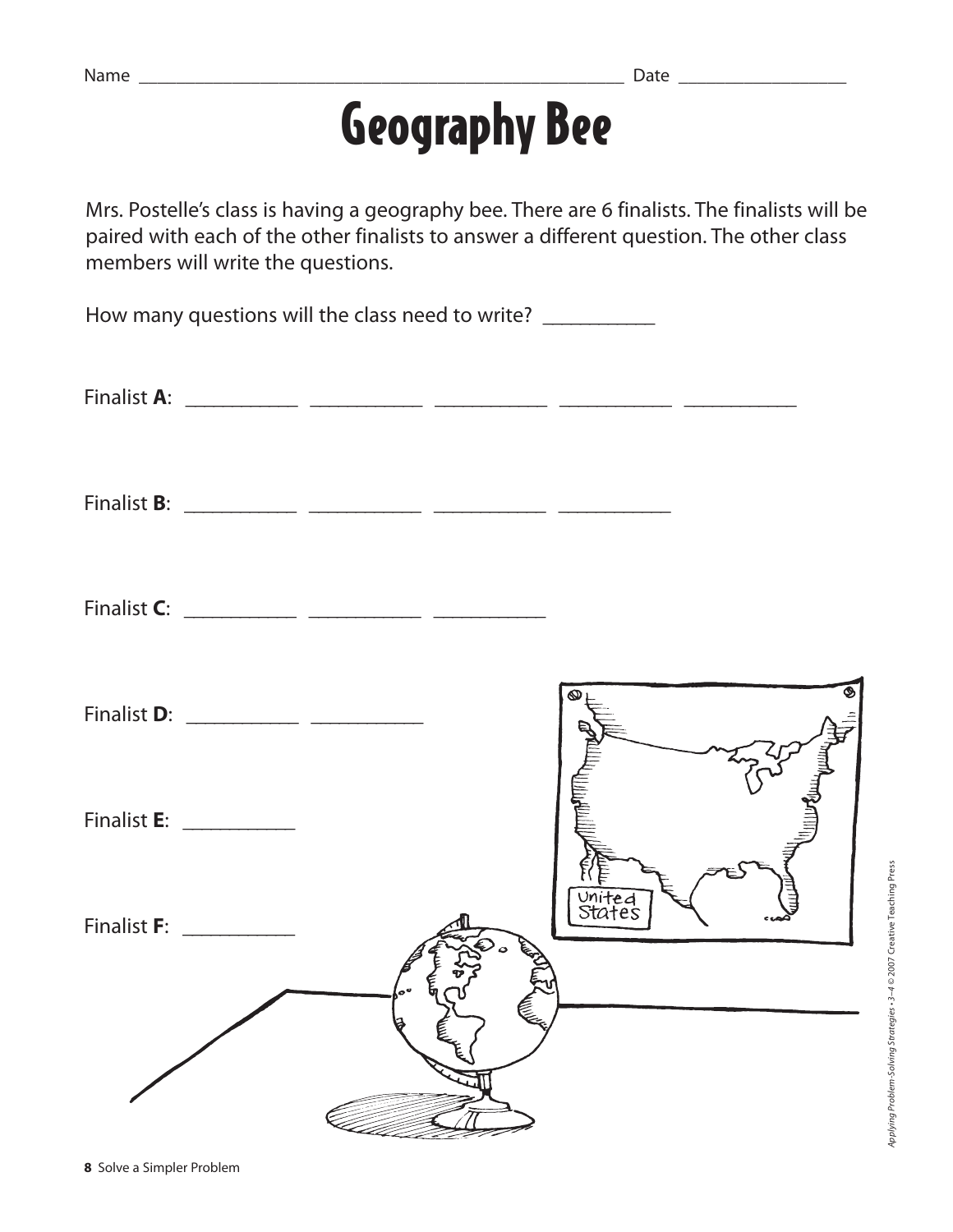## Geography Bee

Mrs. Postelle's class is having a geography bee. There are 6 finalists. The finalists will be paired with each of the other finalists to answer a different question. The other class members will write the questions.

How many questions will the class need to write? \_\_\_\_\_\_\_\_\_\_\_\_

Finalist **A**: \_\_\_\_\_\_\_\_\_\_\_\_ \_\_\_\_\_\_\_\_\_\_\_\_ \_\_\_\_\_\_\_\_\_\_\_\_ \_\_\_\_\_\_\_\_\_\_\_\_ \_\_\_\_\_\_\_\_\_\_\_\_

Finalist **B**: \_\_\_\_\_\_\_\_\_\_\_\_ \_\_\_\_\_\_\_\_\_\_\_\_ \_\_\_\_\_\_\_\_\_\_\_\_ \_\_\_\_\_\_\_\_\_\_\_\_

Finalist **C**: \_\_\_\_\_\_\_\_\_\_\_\_ \_\_\_\_\_\_\_\_\_\_\_\_ \_\_\_\_\_\_\_\_\_\_\_\_

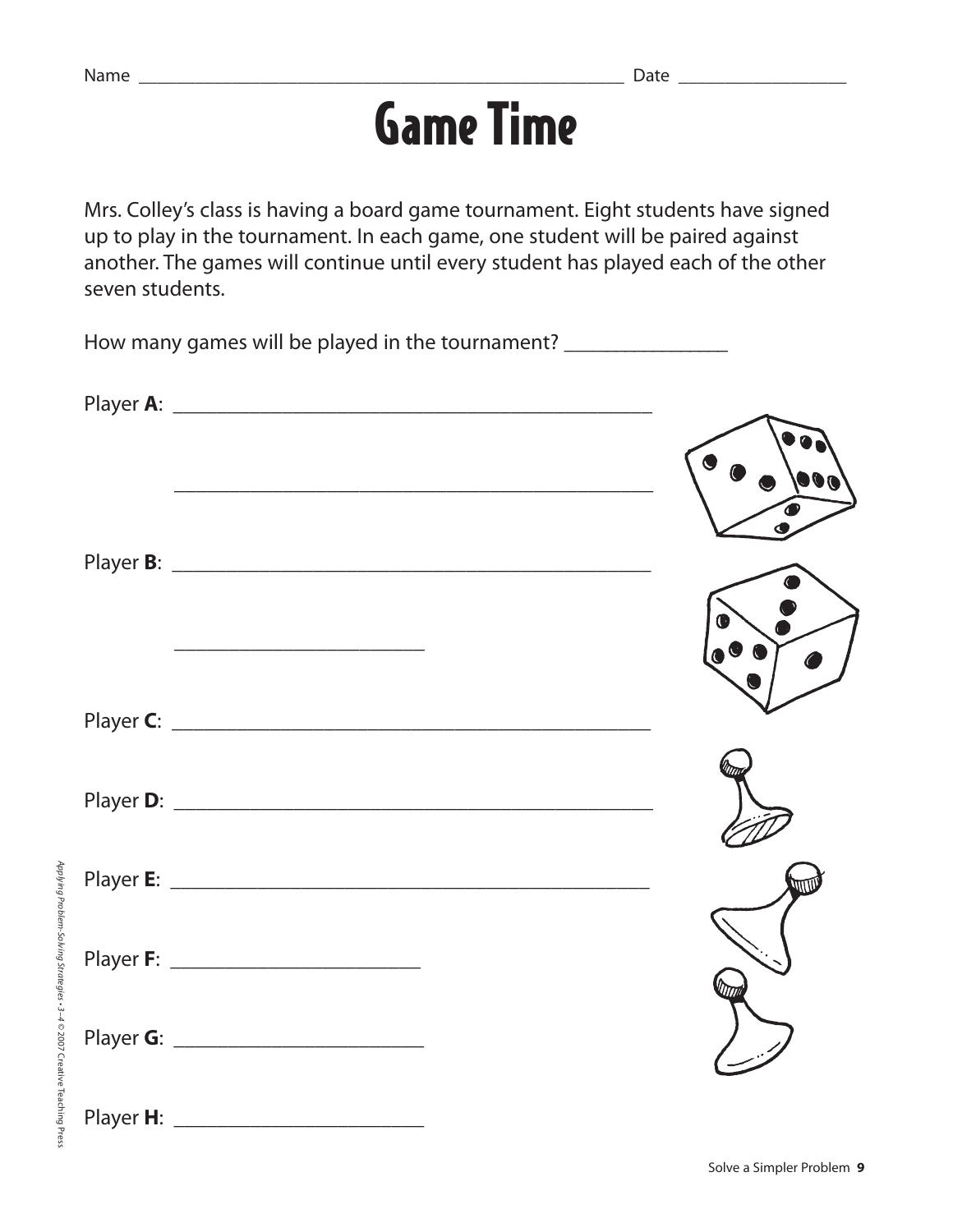## Game Time

Mrs. Colley's class is having a board game tournament. Eight students have signed up to play in the tournament. In each game, one student will be paired against another. The games will continue until every student has played each of the other seven students.

How many games will be played in the tournament? Player **A**: \_\_\_\_\_\_\_\_\_\_\_\_\_\_\_\_\_\_\_\_\_\_\_\_\_\_\_\_\_\_\_\_\_\_\_\_\_\_\_\_\_\_\_\_ \_\_\_\_\_\_\_\_\_\_\_\_\_\_\_\_\_\_\_\_\_\_\_\_\_\_\_\_\_\_\_\_\_\_\_\_\_\_\_\_\_\_\_\_ Player **B**: \_\_\_\_\_\_\_\_\_\_\_\_\_\_\_\_\_\_\_\_\_\_\_\_\_\_\_\_\_\_\_\_\_\_\_\_\_\_\_\_\_\_\_\_ Player **C**: \_\_\_\_\_\_\_\_\_\_\_\_\_\_\_\_\_\_\_\_\_\_\_\_\_\_\_\_\_\_\_\_\_\_\_\_\_\_\_\_\_\_\_\_ Player **D**: \_\_\_\_\_\_\_\_\_\_\_\_\_\_\_\_\_\_\_\_\_\_\_\_\_\_\_\_\_\_\_\_\_\_\_\_\_\_\_\_\_\_\_\_ Player **E**: \_\_\_\_\_\_\_\_\_\_\_\_\_\_\_\_\_\_\_\_\_\_\_\_\_\_\_\_\_\_\_\_\_\_\_\_\_\_\_\_\_\_\_\_ Player **F**: \_\_\_\_\_\_\_\_\_\_\_\_\_\_\_\_\_\_\_\_\_\_\_ Player **G**: \_\_\_\_\_\_\_\_\_\_\_\_\_\_\_\_\_\_\_\_\_\_\_ Player **H**: \_\_\_\_\_\_\_\_\_\_\_\_\_\_\_\_\_\_\_\_\_\_\_